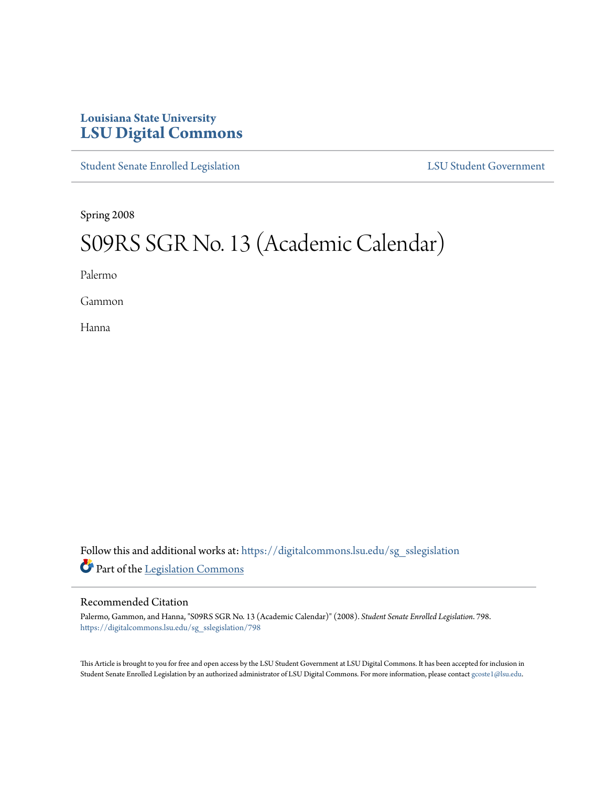## **Louisiana State University [LSU Digital Commons](https://digitalcommons.lsu.edu?utm_source=digitalcommons.lsu.edu%2Fsg_sslegislation%2F798&utm_medium=PDF&utm_campaign=PDFCoverPages)**

[Student Senate Enrolled Legislation](https://digitalcommons.lsu.edu/sg_sslegislation?utm_source=digitalcommons.lsu.edu%2Fsg_sslegislation%2F798&utm_medium=PDF&utm_campaign=PDFCoverPages) [LSU Student Government](https://digitalcommons.lsu.edu/sg?utm_source=digitalcommons.lsu.edu%2Fsg_sslegislation%2F798&utm_medium=PDF&utm_campaign=PDFCoverPages)

Spring 2008

## S09RS SGR No. 13 (Academic Calendar)

Palermo

Gammon

Hanna

Follow this and additional works at: [https://digitalcommons.lsu.edu/sg\\_sslegislation](https://digitalcommons.lsu.edu/sg_sslegislation?utm_source=digitalcommons.lsu.edu%2Fsg_sslegislation%2F798&utm_medium=PDF&utm_campaign=PDFCoverPages) Part of the [Legislation Commons](http://network.bepress.com/hgg/discipline/859?utm_source=digitalcommons.lsu.edu%2Fsg_sslegislation%2F798&utm_medium=PDF&utm_campaign=PDFCoverPages)

## Recommended Citation

Palermo, Gammon, and Hanna, "S09RS SGR No. 13 (Academic Calendar)" (2008). *Student Senate Enrolled Legislation*. 798. [https://digitalcommons.lsu.edu/sg\\_sslegislation/798](https://digitalcommons.lsu.edu/sg_sslegislation/798?utm_source=digitalcommons.lsu.edu%2Fsg_sslegislation%2F798&utm_medium=PDF&utm_campaign=PDFCoverPages)

This Article is brought to you for free and open access by the LSU Student Government at LSU Digital Commons. It has been accepted for inclusion in Student Senate Enrolled Legislation by an authorized administrator of LSU Digital Commons. For more information, please contact [gcoste1@lsu.edu.](mailto:gcoste1@lsu.edu)